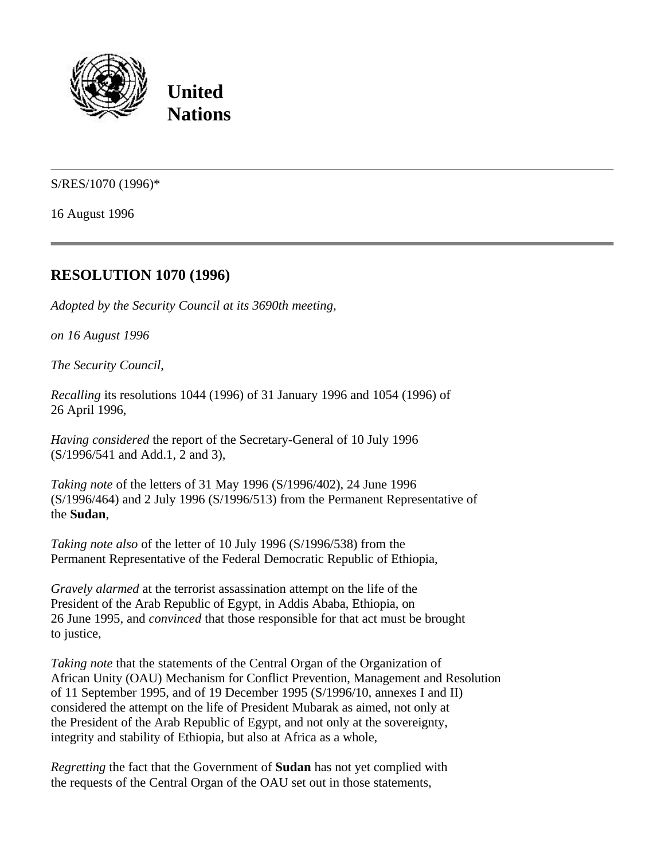

**United Nations**

S/RES/1070 (1996)\*

16 August 1996

## **RESOLUTION 1070 (1996)**

*Adopted by the Security Council at its 3690th meeting,*

*on 16 August 1996*

*The Security Council*,

*Recalling* its resolutions 1044 (1996) of 31 January 1996 and 1054 (1996) of 26 April 1996,

*Having considered* the report of the Secretary-General of 10 July 1996 (S/1996/541 and Add.1, 2 and 3),

*Taking note* of the letters of 31 May 1996 (S/1996/402), 24 June 1996 (S/1996/464) and 2 July 1996 (S/1996/513) from the Permanent Representative of the **Sudan**,

*Taking note also* of the letter of 10 July 1996 (S/1996/538) from the Permanent Representative of the Federal Democratic Republic of Ethiopia,

*Gravely alarmed* at the terrorist assassination attempt on the life of the President of the Arab Republic of Egypt, in Addis Ababa, Ethiopia, on 26 June 1995, and *convinced* that those responsible for that act must be brought to justice,

*Taking note* that the statements of the Central Organ of the Organization of African Unity (OAU) Mechanism for Conflict Prevention, Management and Resolution of 11 September 1995, and of 19 December 1995 (S/1996/10, annexes I and II) considered the attempt on the life of President Mubarak as aimed, not only at the President of the Arab Republic of Egypt, and not only at the sovereignty, integrity and stability of Ethiopia, but also at Africa as a whole,

*Regretting* the fact that the Government of **Sudan** has not yet complied with the requests of the Central Organ of the OAU set out in those statements,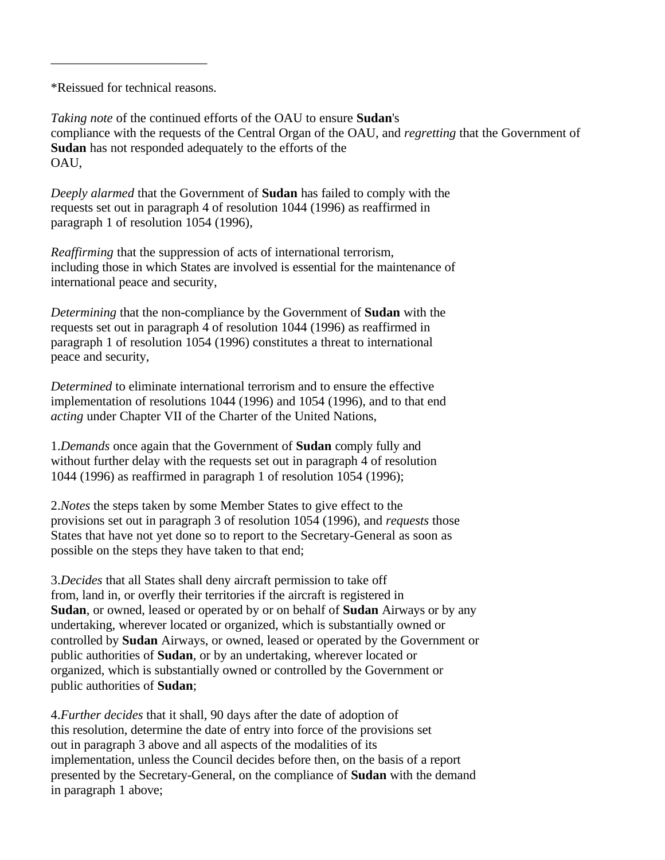\*Reissued for technical reasons.

\_\_\_\_\_\_\_\_\_\_\_\_\_\_\_\_\_\_\_\_\_\_\_\_

*Taking note* of the continued efforts of the OAU to ensure **Sudan**'s compliance with the requests of the Central Organ of the OAU, and *regretting* that the Government of **Sudan** has not responded adequately to the efforts of the OAU,

*Deeply alarmed* that the Government of **Sudan** has failed to comply with the requests set out in paragraph 4 of resolution 1044 (1996) as reaffirmed in paragraph 1 of resolution 1054 (1996),

*Reaffirming* that the suppression of acts of international terrorism, including those in which States are involved is essential for the maintenance of international peace and security,

*Determining* that the non-compliance by the Government of **Sudan** with the requests set out in paragraph 4 of resolution 1044 (1996) as reaffirmed in paragraph 1 of resolution 1054 (1996) constitutes a threat to international peace and security,

*Determined* to eliminate international terrorism and to ensure the effective implementation of resolutions 1044 (1996) and 1054 (1996), and to that end *acting* under Chapter VII of the Charter of the United Nations,

1.*Demands* once again that the Government of **Sudan** comply fully and without further delay with the requests set out in paragraph 4 of resolution 1044 (1996) as reaffirmed in paragraph 1 of resolution 1054 (1996);

2.*Notes* the steps taken by some Member States to give effect to the provisions set out in paragraph 3 of resolution 1054 (1996), and *requests* those States that have not yet done so to report to the Secretary-General as soon as possible on the steps they have taken to that end;

3.*Decides* that all States shall deny aircraft permission to take off from, land in, or overfly their territories if the aircraft is registered in **Sudan**, or owned, leased or operated by or on behalf of **Sudan** Airways or by any undertaking, wherever located or organized, which is substantially owned or controlled by **Sudan** Airways, or owned, leased or operated by the Government or public authorities of **Sudan**, or by an undertaking, wherever located or organized, which is substantially owned or controlled by the Government or public authorities of **Sudan**;

4.*Further decides* that it shall, 90 days after the date of adoption of this resolution, determine the date of entry into force of the provisions set out in paragraph 3 above and all aspects of the modalities of its implementation, unless the Council decides before then, on the basis of a report presented by the Secretary-General, on the compliance of **Sudan** with the demand in paragraph 1 above;